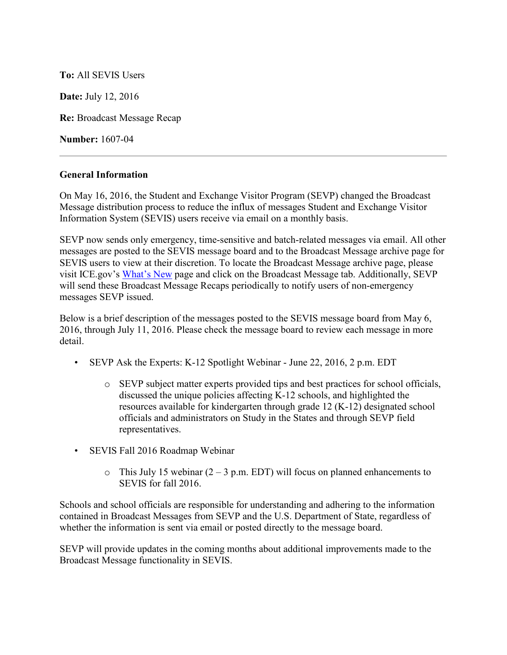## **To:** All SEVIS Users

**Date:** July 12, 2016

**Re:** Broadcast Message Recap

**Number:** 1607-04

## **General Information**

On May 16, 2016, the Student and Exchange Visitor Program (SEVP) changed the Broadcast Message distribution process to reduce the influx of messages Student and Exchange Visitor Information System (SEVIS) users receive via email on a monthly basis.

SEVP now sends only emergency, time-sensitive and batch-related messages via email. All other messages are posted to the SEVIS message board and to the Broadcast Message archive page for SEVIS users to view at their discretion. To locate the Broadcast Message archive page, please visit ICE.gov's [What's New](https://www.ice.gov/sevis/whats-new) page and click on the Broadcast Message tab. Additionally, SEVP will send these Broadcast Message Recaps periodically to notify users of non-emergency messages SEVP issued.

Below is a brief description of the messages posted to the SEVIS message board from May 6, 2016, through July 11, 2016. Please check the message board to review each message in more detail.

- SEVP Ask the Experts: K-12 Spotlight Webinar June 22, 2016, 2 p.m. EDT
	- o SEVP subject matter experts provided tips and best practices for school officials, discussed the unique policies affecting K-12 schools, and highlighted the resources available for kindergarten through grade 12 (K-12) designated school officials and administrators on Study in the States and through SEVP field representatives.
- SEVIS Fall 2016 Roadmap Webinar
	- $\circ$  This July 15 webinar (2 3 p.m. EDT) will focus on planned enhancements to SEVIS for fall 2016.

Schools and school officials are responsible for understanding and adhering to the information contained in Broadcast Messages from SEVP and the U.S. Department of State, regardless of whether the information is sent via email or posted directly to the message board.

SEVP will provide updates in the coming months about additional improvements made to the Broadcast Message functionality in SEVIS.